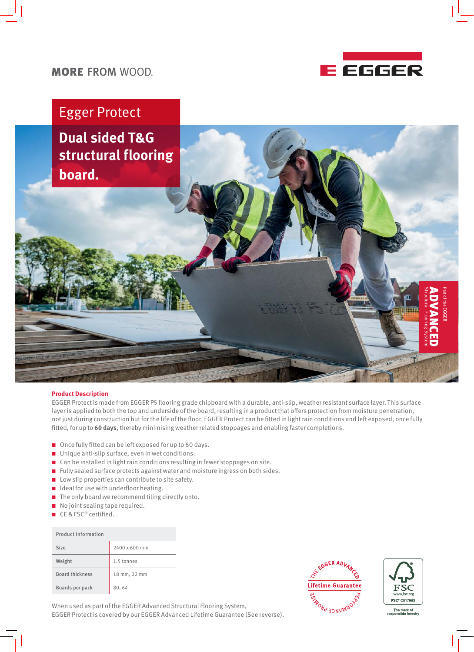

### **MORE FROM WOOD.**

## Egger Protect

**Dual sided T&G structural flooring board.**

#### **Product Description**

EGGER Protect is made from EGGER P5 flooring grade chipboard with a durable, anti-slip, weather resistant surface layer. This surface layer is applied to both the top and underside of the board, resulting in a product that offers protection from moisture penetration, not just during construction but for the life of the floor. EGGER Protect can be fitted in light rain conditions and left exposed, once fully fitted, for up to **60 days**, thereby minimising weather related stoppages and enabling faster completions.

- $\Box$  Once fully fitted can be left exposed for up to 60 days.
- $\blacksquare$  Unique anti-slip surface, even in wet conditions.
- $\blacksquare$  Can be installed in light rain conditions resulting in fewer stoppages on site.
- $\blacksquare$  Fully sealed surface protects against water and moisture ingress on both sides.
- $\blacksquare$  Low slip properties can contribute to site safety.
- $\blacksquare$  Ideal for use with underfloor heating.
- $\blacksquare$  The only board we recommend tiling directly onto.
- $\blacksquare$  No joint sealing tape required.
- $\blacksquare$  CE & FSC® certified.

| Product Information    |               |
|------------------------|---------------|
| Size                   | 2400 x 600 mm |
| Weight                 | 1.5 tonnes    |
| <b>Board thickness</b> | 18 mm, 22 mm  |
| Boards per pack        | 80,64         |

When used as part of the EGGER Advanced Structural Flooring System, EGGER Protect is covered by our EGGER Advanced Lifetime Guarantee (See reverse).





Part of the

EGGER

Structural Flooring System ADVANCED

The mark of